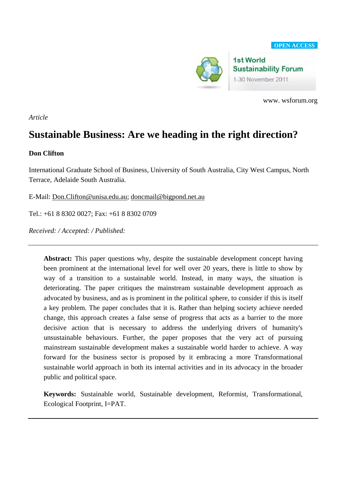

www. wsforum.org

*Article* 

# **Sustainable Business: Are we heading in the right direction?**

# **Don Clifton**

International Graduate School of Business, University of South Australia, City West Campus, North Terrace, Adelaide South Australia.

E-Mail: [Don.Clifton@unisa.edu.au;](mailto:Don.Clifton@unisa.edu.au) [doncmail@bigpond.net.au](mailto:doncmail@bigpond.net.au) 

Tel.: +61 8 8302 0027; Fax: +61 8 8302 0709

*Received: / Accepted: / Published:* 

**Abstract:** This paper questions why, despite the sustainable development concept having been prominent at the international level for well over 20 years, there is little to show by way of a transition to a sustainable world. Instead, in many ways, the situation is deteriorating. The paper critiques the mainstream sustainable development approach as advocated by business, and as is prominent in the political sphere, to consider if this is itself a key problem. The paper concludes that it is. Rather than helping society achieve needed change, this approach creates a false sense of progress that acts as a barrier to the more decisive action that is necessary to address the underlying drivers of humanity's unsustainable behaviours. Further, the paper proposes that the very act of pursuing mainstream sustainable development makes a sustainable world harder to achieve. A way forward for the business sector is proposed by it embracing a more Transformational sustainable world approach in both its internal activities and in its advocacy in the broader public and political space.

**Keywords:** Sustainable world, Sustainable development, Reformist, Transformational, Ecological Footprint, I=PAT.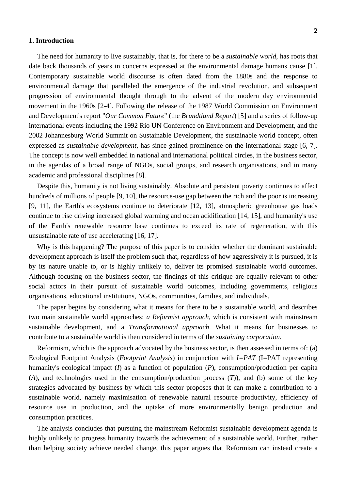#### **1. Introduction**

The need for humanity to live sustainably, that is, for there to be a *sustainable world*, has roots that date back thousands of years in concerns expressed at the environmental damage humans cause [1]. Contemporary sustainable world discourse is often dated from the 1880s and the response to environmental damage that paralleled the emergence of the industrial revolution, and subsequent progression of environmental thought through to the advent of the modern day environmental movement in the 1960s [2-4]. Following the release of the 1987 World Commission on Environment and Development's report "*Our Common Future*" (the *Brundtland Report*) [5] and a series of follow-up international events including the 1992 Rio UN Conference on Environment and Development, and the 2002 Johannesburg World Summit on Sustainable Development, the sustainable world concept, often expressed as *sustainable development*, has since gained prominence on the international stage [6, 7]. The concept is now well embedded in national and international political circles, in the business sector, in the agendas of a broad range of NGOs, social groups, and research organisations, and in many academic and professional disciplines [8].

Despite this, humanity is not living sustainably. Absolute and persistent poverty continues to affect hundreds of millions of people [9, 10], the resource-use gap between the rich and the poor is increasing [9, 11], the Earth's ecosystems continue to deteriorate [12, 13], atmospheric greenhouse gas loads continue to rise driving increased global warming and ocean acidification [14, 15], and humanity's use of the Earth's renewable resource base continues to exceed its rate of regeneration, with this unsustainable rate of use accelerating [16, 17].

Why is this happening? The purpose of this paper is to consider whether the dominant sustainable development approach is itself the problem such that, regardless of how aggressively it is pursued, it is by its nature unable to, or is highly unlikely to, deliver its promised sustainable world outcomes. Although focusing on the business sector, the findings of this critique are equally relevant to other social actors in their pursuit of sustainable world outcomes, including governments, religious organisations, educational institutions, NGOs, communities, families, and individuals.

The paper begins by considering what it means for there to be a sustainable world, and describes two main sustainable world approaches: *a Reformist approach*, which is consistent with mainstream sustainable development, and a *Transformational approach*. What it means for businesses to contribute to a sustainable world is then considered in terms of the *sustaining corporation*.

Reformism, which is the approach advocated by the business sector, is then assessed in terms of: (a) Ecological Footprint Analysis (*Footprint Analysis*) in conjunction with *I=PAT* (I=PAT representing humanity's ecological impact (*I*) as a function of population (*P*), consumption/production per capita (*A*), and technologies used in the consumption/production process (*T*)), and (b) some of the key strategies advocated by business by which this sector proposes that it can make a contribution to a sustainable world, namely maximisation of renewable natural resource productivity, efficiency of resource use in production, and the uptake of more environmentally benign production and consumption practices.

The analysis concludes that pursuing the mainstream Reformist sustainable development agenda is highly unlikely to progress humanity towards the achievement of a sustainable world. Further, rather than helping society achieve needed change, this paper argues that Reformism can instead create a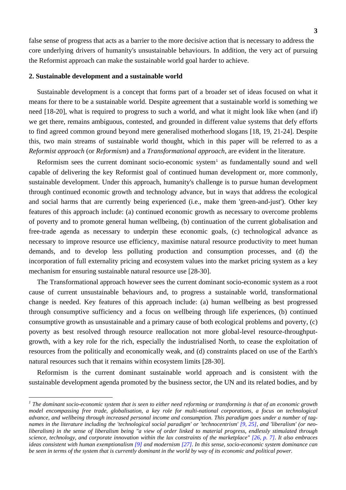false sense of progress that acts as a barrier to the more decisive action that is necessary to address the core underlying drivers of humanity's unsustainable behaviours. In addition, the very act of pursuing the Reformist approach can make the sustainable world goal harder to achieve.

#### **2. Sustainable development and a sustainable world**

 $\overline{a}$ 

Sustainable development is a concept that forms part of a broader set of ideas focused on what it means for there to be a sustainable world. Despite agreement that a sustainable world is something we need [18-20], what is required to progress to such a world, and what it might look like when (and if) we get there, remains ambiguous, contested, and grounded in different value systems that defy efforts to find agreed common ground beyond mere generalised motherhood slogans [18, 19, 21-24]. Despite this, two main streams of sustainable world thought, which in this paper will be referred to as a *Reformist approach* (or *Reformism*) and a *Transformational approach*, are evident in the literature.

Reformism sees the current dominant socio-economic system<sup>[1](#page-2-0)</sup> as fundamentally sound and well capable of delivering the key Reformist goal of continued human development or, more commonly, sustainable development. Under this approach, humanity's challenge is to pursue human development through continued economic growth and technology advance, but in ways that address the ecological and social harms that are currently being experienced (i.e., make them 'green-and-just'). Other key features of this approach include: (a) continued economic growth as necessary to overcome problems of poverty and to promote general human wellbeing, (b) continuation of the current globalisation and free-trade agenda as necessary to underpin these economic goals, (c) technological advance as necessary to improve resource use efficiency, maximise natural resource productivity to meet human demands, and to develop less polluting production and consumption processes, and (d) the incorporation of full externality pricing and ecosystem values into the market pricing system as a key mechanism for ensuring sustainable natural resource use [28-30].

The Transformational approach however sees the current dominant socio-economic system as a root cause of current unsustainable behaviours and, to progress a sustainable world, transformational change is needed. Key features of this approach include: (a) human wellbeing as best progressed through consumptive sufficiency and a focus on wellbeing through life experiences, (b) continued consumptive growth as unsustainable and a primary cause of both ecological problems and poverty, (c) poverty as best resolved through resource reallocation not more global-level resource-throughputgrowth, with a key role for the rich, especially the industrialised North, to cease the exploitation of resources from the politically and economically weak, and (d) constraints placed on use of the Earth's natural resources such that it remains within ecosystem limits [28-30].

Reformism is the current dominant sustainable world approach and is consistent with the sustainable development agenda promoted by the business sector, the UN and its related bodies, and by

<span id="page-2-0"></span><sup>&</sup>lt;sup>1</sup> The dominant socio-economic system that is seen to either need reforming or transforming is that of an economic growth *model encompassing free trade, globalisation, a key role for multi-national corporations, a focus on technological advance, and wellbeing through increased personal income and consumption. This paradigm goes under a number of tagnames in the literature including the 'technological social paradigm' or 'technocentrism' [9, 25], and 'liberalism' (or neoliberalism) in the sense of liberalism being "a view of order linked to material progress, endlessly stimulated through science, technology, and corporate innovation within the lax constraints of the marketplace" [26, p. 7]. It also embraces ideas consistent with human exemptionalism [9] and modernism [27]. In this sense, socio-economic system dominance can be seen in terms of the system that is currently dominant in the world by way of its economic and political power.*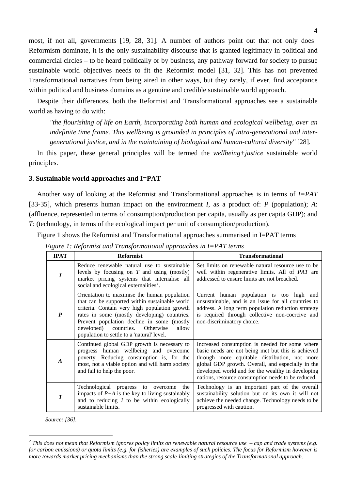most, if not all, governments [19, 28, 31]. A number of authors point out that not only does Reformism dominate, it is the only sustainability discourse that is granted legitimacy in political and commercial circles – to be heard politically or by business, any pathway forward for society to pursue sustainable world objectives needs to fit the Reformist model [31, 32]. This has not prevented Transformational narratives from being aired in other ways, but they rarely, if ever, find acceptance within political and business domains as a genuine and credible sustainable world approach.

Despite their differences, both the Reformist and Transformational approaches see a sustainable world as having to do with:

*"the flourishing of life on Earth, incorporating both human and ecological wellbeing, over an indefinite time frame. This wellbeing is grounded in principles of intra-generational and intergenerational justice, and in the maintaining of biological and human-cultural diversity"* [28].

In this paper, these general principles will be termed the *wellbeing+justice* sustainable world principles.

## **3. Sustainable world approaches and I=PAT**

Another way of looking at the Reformist and Transformational approaches is in terms of *I=PAT* [33-35], which presents human impact on the environment *I*, as a product of: *P* (population); *A*: (affluence, represented in terms of consumption/production per capita, usually as per capita GDP); and *T*: (technology, in terms of the ecological impact per unit of consumption/production).

Figure 1 shows the Reformist and Transformational approaches summarised in I=PAT terms

| <b>IPAT</b>      | <b>Reformist</b>                                                                                                                                                                                                                                                                                                                           | <b>Transformational</b>                                                                                                                                                                                                                                                                                               |
|------------------|--------------------------------------------------------------------------------------------------------------------------------------------------------------------------------------------------------------------------------------------------------------------------------------------------------------------------------------------|-----------------------------------------------------------------------------------------------------------------------------------------------------------------------------------------------------------------------------------------------------------------------------------------------------------------------|
| I                | Reduce renewable natural use to sustainable<br>levels by focusing on $T$ and using (mostly)<br>market pricing systems that internalise all<br>social and ecological externalities <sup>2</sup> .                                                                                                                                           | Set limits on renewable natural resource use to be<br>well within regenerative limits. All of PAT are<br>addressed to ensure limits are not breached.                                                                                                                                                                 |
| $\boldsymbol{P}$ | Orientation to maximise the human population<br>that can be supported within sustainable world<br>criteria. Contain very high population growth<br>rates in some (mostly developing) countries.<br>Prevent population decline in some (mostly<br>developed)<br>countries. Otherwise<br>allow<br>population to settle to a 'natural' level. | Current human population is too high and<br>unsustainable, and is an issue for all countries to<br>address. A long term population reduction strategy<br>is required through collective non-coercive and<br>non-discriminatory choice.                                                                                |
| $\boldsymbol{A}$ | Continued global GDP growth is necessary to<br>progress human wellbeing and overcome<br>poverty. Reducing consumption is, for the<br>most, not a viable option and will harm society<br>and fail to help the poor.                                                                                                                         | Increased consumption is needed for some where<br>basic needs are not being met but this is achieved<br>through more equitable distribution, not more<br>global GDP growth. Overall, and especially in the<br>developed world and for the wealthy in developing<br>nations, resource consumption needs to be reduced. |
| $\boldsymbol{T}$ | Technological progress to overcome<br>the<br>impacts of $P+A$ is the key to living sustainably<br>and to reducing $I$ to be within ecologically<br>sustainable limits.                                                                                                                                                                     | Technology is an important part of the overall<br>sustainability solution but on its own it will not<br>achieve the needed change. Technology needs to be<br>progressed with caution.                                                                                                                                 |

*Figure 1: Reformist and Transformational approaches in I=PAT terms* 

*Source: [36].* 

 $\overline{a}$ 

<span id="page-3-0"></span>*<sup>2</sup> This does not mean that Reformism ignores policy limits on renewable natural resource use – cap and trade systems (e.g. for carbon emissions) or quota limits (e.g. for fisheries) are examples of such policies. The focus for Reformism however is more towards market pricing mechanisms than the strong scale-limiting strategies of the Transformational approach.*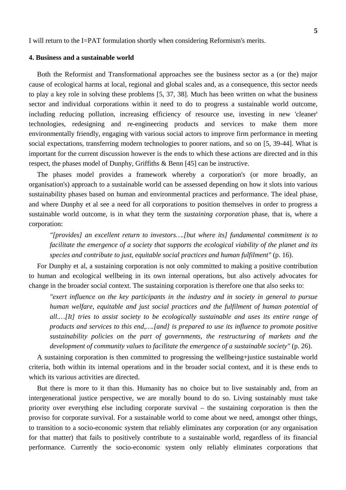I will return to the I=PAT formulation shortly when considering Reformism's merits.

## **4. Business and a sustainable world**

Both the Reformist and Transformational approaches see the business sector as a (or the) major cause of ecological harms at local, regional and global scales and, as a consequence, this sector needs to play a key role in solving these problems [5, 37, 38]. Much has been written on what the business sector and individual corporations within it need to do to progress a sustainable world outcome, including reducing pollution, increasing efficiency of resource use, investing in new 'cleaner' technologies, redesigning and re-engineering products and services to make them more environmentally friendly, engaging with various social actors to improve firm performance in meeting social expectations, transferring modern technologies to poorer nations, and so on [5, 39-44]. What is important for the current discussion however is the ends to which these actions are directed and in this respect, the phases model of Dunphy, Griffiths & Benn [45] can be instructive.

The phases model provides a framework whereby a corporation's (or more broadly, an organisation's) approach to a sustainable world can be assessed depending on how it slots into various sustainability phases based on human and environmental practices and performance. The ideal phase, and where Dunphy et al see a need for all corporations to position themselves in order to progress a sustainable world outcome, is in what they term the *sustaining corporation* phase, that is, where a corporation:

*"[provides] an excellent return to investors….[but where its] fundamental commitment is to facilitate the emergence of a society that supports the ecological viability of the planet and its species and contribute to just, equitable social practices and human fulfilment"* (p. 16).

For Dunphy et al, a sustaining corporation is not only committed to making a positive contribution to human and ecological wellbeing in its own internal operations, but also actively advocates for change in the broader social context. The sustaining corporation is therefore one that also seeks to:

*rexert influence on the key participants in the industry and in society in general to pursue human welfare, equitable and just social practices and the fulfilment of human potential of all.…[It] tries to assist society to be ecologically sustainable and uses its entire range of products and services to this end,….[and] is prepared to use its influence to promote positive sustainability policies on the part of governments, the restructuring of markets and the development of community values to facilitate the emergence of a sustainable society"* (p. 26).

A sustaining corporation is then committed to progressing the wellbeing+justice sustainable world criteria, both within its internal operations and in the broader social context, and it is these ends to which its various activities are directed.

But there is more to it than this. Humanity has no choice but to live sustainably and, from an intergenerational justice perspective, we are morally bound to do so. Living sustainably must take priority over everything else including corporate survival – the sustaining corporation is then the proviso for corporate survival. For a sustainable world to come about we need, amongst other things, to transition to a socio-economic system that reliably eliminates any corporation (or any organisation for that matter) that fails to positively contribute to a sustainable world, regardless of its financial performance. Currently the socio-economic system only reliably eliminates corporations that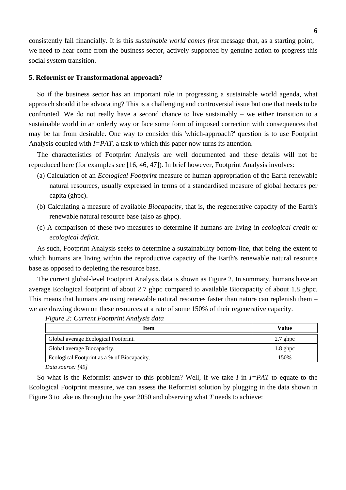consistently fail financially. It is this *sustainable world comes first* message that, as a starting point, we need to hear come from the business sector, actively supported by genuine action to progress this social system transition.

#### **5. Reformist or Transformational approach?**

So if the business sector has an important role in progressing a sustainable world agenda, what approach should it be advocating? This is a challenging and controversial issue but one that needs to be confronted. We do not really have a second chance to live sustainably – we either transition to a sustainable world in an orderly way or face some form of imposed correction with consequences that may be far from desirable. One way to consider this 'which-approach?' question is to use Footprint Analysis coupled with *I=PAT*, a task to which this paper now turns its attention.

The characteristics of Footprint Analysis are well documented and these details will not be reproduced here (for examples see [16, 46, 47]). In brief however, Footprint Analysis involves:

- (a) Calculation of an *Ecological Footprint* measure of human appropriation of the Earth renewable natural resources, usually expressed in terms of a standardised measure of global hectares per capita (ghpc).
- (b) Calculating a measure of available *Biocapacity*, that is, the regenerative capacity of the Earth's renewable natural resource base (also as ghpc).
- (c) A comparison of these two measures to determine if humans are living in *ecological credit* or *ecological deficit*.

As such, Footprint Analysis seeks to determine a sustainability bottom-line, that being the extent to which humans are living within the reproductive capacity of the Earth's renewable natural resource base as opposed to depleting the resource base.

The current global-level Footprint Analysis data is shown as Figure 2. In summary, humans have an average Ecological footprint of about 2.7 ghpc compared to available Biocapacity of about 1.8 ghpc. This means that humans are using renewable natural resources faster than nature can replenish them – we are drawing down on these resources at a rate of some 150% of their regenerative capacity.

| <b>Item</b>                                 | Value      |
|---------------------------------------------|------------|
| Global average Ecological Footprint.        | $2.7$ ghpc |
| Global average Biocapacity.                 | $1.8$ ghpc |
| Ecological Footprint as a % of Biocapacity. | 150%       |
|                                             |            |

*Figure 2: Current Footprint Analysis data* 

*Data source: [49]* 

So what is the Reformist answer to this problem? Well, if we take *I* in *I=PAT* to equate to the Ecological Footprint measure, we can assess the Reformist solution by plugging in the data shown in Figure 3 to take us through to the year 2050 and observing what *T* needs to achieve: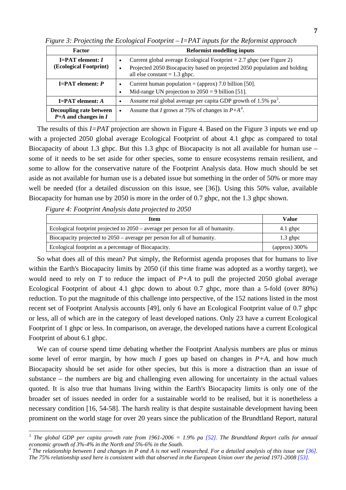| <b>Factor</b>                                            | <b>Reformist modelling inputs</b>                                                                                                                                                       |  |  |
|----------------------------------------------------------|-----------------------------------------------------------------------------------------------------------------------------------------------------------------------------------------|--|--|
| $I = PAT$ element: $I$<br>(Ecological Footprint)         | Current global average Ecological Footprint $= 2.7$ ghpc (see Figure 2)<br>Projected 2050 Biocapacity based on projected 2050 population and holding<br>all else constant $= 1.3$ ghpc. |  |  |
| $I = PAT$ element: $P$                                   | Current human population = (approx) 7.0 billion [50].<br>Mid-range UN projection to $2050 = 9$ billion [51].                                                                            |  |  |
| $I = PAT$ element: A                                     | Assume real global average per capita GDP growth of 1.5% pa <sup>3</sup> .                                                                                                              |  |  |
| <b>Decoupling rate between</b><br>$P+A$ and changes in I | Assume that I grows at 75% of changes in $P+A^4$ .<br>٠                                                                                                                                 |  |  |

*Figure 3: Projecting the Ecological Footprint – I=PAT inputs for the Reformist approach* 

The results of this *I=PAT* projection are shown in Figure 4. Based on the Figure 3 inputs we end up with a projected 2050 global average Ecological Footprint of about 4.1 ghpc as compared to total Biocapacity of about 1.3 ghpc. But this 1.3 ghpc of Biocapacity is not all available for human use – some of it needs to be set aside for other species, some to ensure ecosystems remain resilient, and some to allow for the conservative nature of the Footprint Analysis data. How much should be set aside as not available for human use is a debated issue but something in the order of 50% or more may well be needed (for a detailed discussion on this issue, see [36]). Using this 50% value, available Biocapacity for human use by 2050 is more in the order of 0.7 ghpc, not the 1.3 ghpc shown.

*Figure 4: Footprint Analysis data projected to 2050* 

 $\overline{a}$ 

| Item                                                                             | Value                       |
|----------------------------------------------------------------------------------|-----------------------------|
| Ecological footprint projected to 2050 – average per person for all of humanity. | $4.1$ ghpc                  |
| Biocapacity projected to 2050 – average per person for all of humanity.          | $1.3$ ghpc                  |
| Ecological footprint as a percentage of Biocapacity.                             | $\frac{1}{2}$ (approx) 300% |

So what does all of this mean? Put simply, the Reformist agenda proposes that for humans to live within the Earth's Biocapacity limits by 2050 (if this time frame was adopted as a worthy target), we would need to rely on *T* to reduce the impact of *P+A* to pull the projected 2050 global average Ecological Footprint of about 4.1 ghpc down to about 0.7 ghpc, more than a 5-fold (over 80%) reduction. To put the magnitude of this challenge into perspective, of the 152 nations listed in the most recent set of Footprint Analysis accounts [49], only 6 have an Ecological Footprint value of 0.7 ghpc or less, all of which are in the category of least developed nations. Only 23 have a current Ecological Footprint of 1 ghpc or less. In comparison, on average, the developed nations have a current Ecological Footprint of about 6.1 ghpc.

We can of course spend time debating whether the Footprint Analysis numbers are plus or minus some level of error margin, by how much *I* goes up based on changes in  $P+A$ , and how much Biocapacity should be set aside for other species, but this is more a distraction than an issue of substance – the numbers are big and challenging even allowing for uncertainty in the actual values quoted. It is also true that humans living within the Earth's Biocapacity limits is only one of the broader set of issues needed in order for a sustainable world to be realised, but it is nonetheless a necessary condition [16, 54-58]. The harsh reality is that despite sustainable development having been prominent on the world stage for over 20 years since the publication of the Brundtland Report, natural

<span id="page-6-0"></span>*<sup>3</sup> The global GDP per capita growth rate from 1961-2006 = 1.9% pa [52]. The Brundtland Report calls for annual economic growth of 3%-4% in the North and 5%-6% in the South.* 

<span id="page-6-1"></span><sup>&</sup>lt;sup>4</sup> The relationship between I and changes in P and A is not well researched. For a detailed analysis of this issue see [36]. *The 75% relationship used here is consistent with that observed in the European Union over the period 1971-2008 [53].*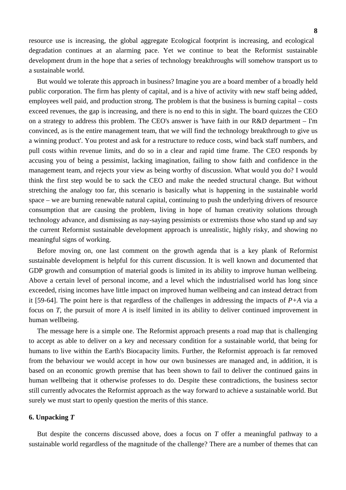resource use is increasing, the global aggregate Ecological footprint is increasing, and ecological degradation continues at an alarming pace. Yet we continue to beat the Reformist sustainable development drum in the hope that a series of technology breakthroughs will somehow transport us to a sustainable world.

But would we tolerate this approach in business? Imagine you are a board member of a broadly held public corporation. The firm has plenty of capital, and is a hive of activity with new staff being added, employees well paid, and production strong. The problem is that the business is burning capital – costs exceed revenues, the gap is increasing, and there is no end to this in sight. The board quizzes the CEO on a strategy to address this problem. The CEO's answer is 'have faith in our R&D department – I'm convinced, as is the entire management team, that we will find the technology breakthrough to give us a winning product'. You protest and ask for a restructure to reduce costs, wind back staff numbers, and pull costs within revenue limits, and do so in a clear and rapid time frame. The CEO responds by accusing you of being a pessimist, lacking imagination, failing to show faith and confidence in the management team, and rejects your view as being worthy of discussion. What would you do? I would think the first step would be to sack the CEO and make the needed structural change. But without stretching the analogy too far, this scenario is basically what is happening in the sustainable world space – we are burning renewable natural capital, continuing to push the underlying drivers of resource consumption that are causing the problem, living in hope of human creativity solutions through technology advance, and dismissing as nay-saying pessimists or extremists those who stand up and say the current Reformist sustainable development approach is unrealistic, highly risky, and showing no meaningful signs of working.

Before moving on, one last comment on the growth agenda that is a key plank of Reformist sustainable development is helpful for this current discussion. It is well known and documented that GDP growth and consumption of material goods is limited in its ability to improve human wellbeing. Above a certain level of personal income, and a level which the industrialised world has long since exceeded, rising incomes have little impact on improved human wellbeing and can instead detract from it [59-64]. The point here is that regardless of the challenges in addressing the impacts of  $P+A$  via a focus on *T*, the pursuit of more *A* is itself limited in its ability to deliver continued improvement in human wellbeing.

The message here is a simple one. The Reformist approach presents a road map that is challenging to accept as able to deliver on a key and necessary condition for a sustainable world, that being for humans to live within the Earth's Biocapacity limits. Further, the Reformist approach is far removed from the behaviour we would accept in how our own businesses are managed and, in addition, it is based on an economic growth premise that has been shown to fail to deliver the continued gains in human wellbeing that it otherwise professes to do. Despite these contradictions, the business sector still currently advocates the Reformist approach as the way forward to achieve a sustainable world. But surely we must start to openly question the merits of this stance.

## **6. Unpacking** *T*

But despite the concerns discussed above, does a focus on *T* offer a meaningful pathway to a sustainable world regardless of the magnitude of the challenge? There are a number of themes that can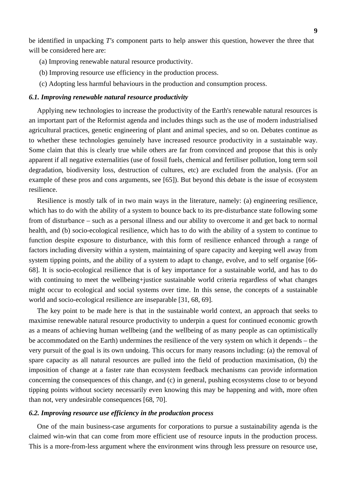be identified in unpacking *T's* component parts to help answer this question, however the three that will be considered here are:

- (a) Improving renewable natural resource productivity.
- (b) Improving resource use efficiency in the production process.
- (c) Adopting less harmful behaviours in the production and consumption process.

#### *6.1. Improving renewable natural resource productivity*

Applying new technologies to increase the productivity of the Earth's renewable natural resources is an important part of the Reformist agenda and includes things such as the use of modern industrialised agricultural practices, genetic engineering of plant and animal species, and so on. Debates continue as to whether these technologies genuinely have increased resource productivity in a sustainable way. Some claim that this is clearly true while others are far from convinced and propose that this is only apparent if all negative externalities (use of fossil fuels, chemical and fertiliser pollution, long term soil degradation, biodiversity loss, destruction of cultures, etc) are excluded from the analysis. (For an example of these pros and cons arguments, see [65]). But beyond this debate is the issue of ecosystem resilience.

Resilience is mostly talk of in two main ways in the literature, namely: (a) engineering resilience, which has to do with the ability of a system to bounce back to its pre-disturbance state following some from of disturbance – such as a personal illness and our ability to overcome it and get back to normal health, and (b) socio-ecological resilience, which has to do with the ability of a system to continue to function despite exposure to disturbance, with this form of resilience enhanced through a range of factors including diversity within a system, maintaining of spare capacity and keeping well away from system tipping points, and the ability of a system to adapt to change, evolve, and to self organise [66- 68]. It is socio-ecological resilience that is of key importance for a sustainable world, and has to do with continuing to meet the wellbeing+justice sustainable world criteria regardless of what changes might occur to ecological and social systems over time. In this sense, the concepts of a sustainable world and socio-ecological resilience are inseparable [31, 68, 69].

The key point to be made here is that in the sustainable world context, an approach that seeks to maximise renewable natural resource productivity to underpin a quest for continued economic growth as a means of achieving human wellbeing (and the wellbeing of as many people as can optimistically be accommodated on the Earth) undermines the resilience of the very system on which it depends – the very pursuit of the goal is its own undoing. This occurs for many reasons including: (a) the removal of spare capacity as all natural resources are pulled into the field of production maximisation, (b) the imposition of change at a faster rate than ecosystem feedback mechanisms can provide information concerning the consequences of this change, and (c) in general, pushing ecosystems close to or beyond tipping points without society necessarily even knowing this may be happening and with, more often than not, very undesirable consequences [68, 70].

#### *6.2. Improving resource use efficiency in the production process*

One of the main business-case arguments for corporations to pursue a sustainability agenda is the claimed win-win that can come from more efficient use of resource inputs in the production process. This is a more-from-less argument where the environment wins through less pressure on resource use,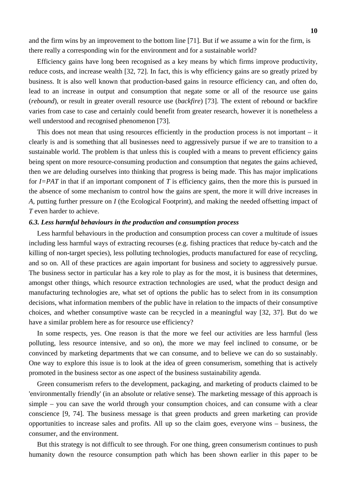and the firm wins by an improvement to the bottom line [71]. But if we assume a win for the firm, is there really a corresponding win for the environment and for a sustainable world?

Efficiency gains have long been recognised as a key means by which firms improve productivity, reduce costs, and increase wealth [32, 72]. In fact, this is why efficiency gains are so greatly prized by business. It is also well known that production-based gains in resource efficiency can, and often do, lead to an increase in output and consumption that negate some or all of the resource use gains (*rebound*), or result in greater overall resource use (*backfire*) [73]. The extent of rebound or backfire varies from case to case and certainly could benefit from greater research, however it is nonetheless a well understood and recognised phenomenon [73].

This does not mean that using resources efficiently in the production process is not important – it clearly is and is something that all businesses need to aggressively pursue if we are to transition to a sustainable world. The problem is that unless this is coupled with a means to prevent efficiency gains being spent on more resource-consuming production and consumption that negates the gains achieved, then we are deluding ourselves into thinking that progress is being made. This has major implications for *I=PAT* in that if an important component of *T* is efficiency gains, then the more this is pursued in the absence of some mechanism to control how the gains are spent, the more it will drive increases in *A*, putting further pressure on *I* (the Ecological Footprint), and making the needed offsetting impact of *T* even harder to achieve.

## *6.3. Less harmful behaviours in the production and consumption process*

Less harmful behaviours in the production and consumption process can cover a multitude of issues including less harmful ways of extracting recourses (e.g. fishing practices that reduce by-catch and the killing of non-target species), less polluting technologies, products manufactured for ease of recycling, and so on. All of these practices are again important for business and society to aggressively pursue. The business sector in particular has a key role to play as for the most, it is business that determines, amongst other things, which resource extraction technologies are used, what the product design and manufacturing technologies are, what set of options the public has to select from in its consumption decisions, what information members of the public have in relation to the impacts of their consumptive choices, and whether consumptive waste can be recycled in a meaningful way [32, 37]. But do we have a similar problem here as for resource use efficiency?

In some respects, yes. One reason is that the more we feel our activities are less harmful (less polluting, less resource intensive, and so on), the more we may feel inclined to consume, or be convinced by marketing departments that we can consume, and to believe we can do so sustainably. One way to explore this issue is to look at the idea of green consumerism, something that is actively promoted in the business sector as one aspect of the business sustainability agenda.

Green consumerism refers to the development, packaging, and marketing of products claimed to be 'environmentally friendly' (in an absolute or relative sense). The marketing message of this approach is simple – you can save the world through your consumption choices, and can consume with a clear conscience [9, 74]. The business message is that green products and green marketing can provide opportunities to increase sales and profits. All up so the claim goes, everyone wins – business, the consumer, and the environment.

But this strategy is not difficult to see through. For one thing, green consumerism continues to push humanity down the resource consumption path which has been shown earlier in this paper to be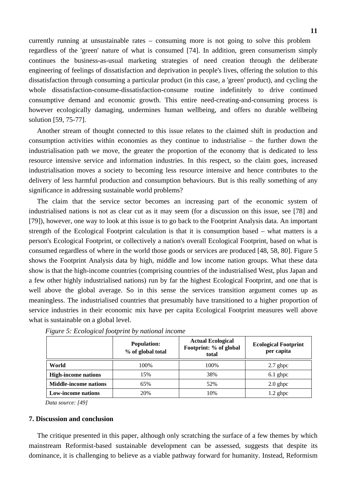currently running at unsustainable rates – consuming more is not going to solve this problem regardless of the 'green' nature of what is consumed [74]. In addition, green consumerism simply continues the business-as-usual marketing strategies of need creation through the deliberate engineering of feelings of dissatisfaction and deprivation in people's lives, offering the solution to this dissatisfaction through consuming a particular product (in this case, a 'green' product), and cycling the whole dissatisfaction-consume-dissatisfaction-consume routine indefinitely to drive continued consumptive demand and economic growth. This entire need-creating-and-consuming process is however ecologically damaging, undermines human wellbeing, and offers no durable wellbeing solution [59, 75-77].

Another stream of thought connected to this issue relates to the claimed shift in production and consumption activities within economies as they continue to industrialise – the further down the industrialisation path we move, the greater the proportion of the economy that is dedicated to less resource intensive service and information industries. In this respect, so the claim goes, increased industrialisation moves a society to becoming less resource intensive and hence contributes to the delivery of less harmful production and consumption behaviours. But is this really something of any significance in addressing sustainable world problems?

The claim that the service sector becomes an increasing part of the economic system of industrialised nations is not as clear cut as it may seem (for a discussion on this issue, see [78] and [79]), however, one way to look at this issue is to go back to the Footprint Analysis data. An important strength of the Ecological Footprint calculation is that it is consumption based – what matters is a person's Ecological Footprint, or collectively a nation's overall Ecological Footprint, based on what is consumed regardless of where in the world those goods or services are produced [48, 58, 80]. Figure 5 shows the Footprint Analysis data by high, middle and low income nation groups. What these data show is that the high-income countries (comprising countries of the industrialised West, plus Japan and a few other highly industrialised nations) run by far the highest Ecological Footprint, and one that is well above the global average. So in this sense the services transition argument comes up as meaningless. The industrialised countries that presumably have transitioned to a higher proportion of service industries in their economic mix have per capita Ecological Footprint measures well above what is sustainable on a global level.

|                              | <b>Population:</b><br>% of global total | <b>Actual Ecological</b><br>Footprint: % of global<br>total | <b>Ecological Footprint</b><br>per capita |
|------------------------------|-----------------------------------------|-------------------------------------------------------------|-------------------------------------------|
| World                        | 100%                                    | 100%                                                        | $2.7$ ghpc                                |
| <b>High-income nations</b>   | 15%                                     | 38%                                                         | $6.1$ ghpc                                |
| <b>Middle-income nations</b> | 65%                                     | 52%                                                         | $2.0$ ghpc                                |
| <b>Low-income nations</b>    | 20%                                     | 10%                                                         | $1.2$ ghpc                                |

*Figure 5: Ecological footprint by national income* 

*Data source: [49]* 

## **7. Discussion and conclusion**

The critique presented in this paper, although only scratching the surface of a few themes by which mainstream Reformist-based sustainable development can be assessed, suggests that despite its dominance, it is challenging to believe as a viable pathway forward for humanity. Instead, Reformism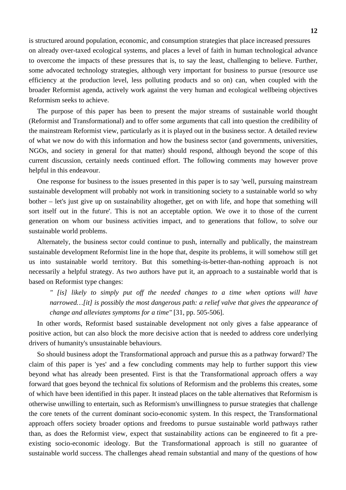is structured around population, economic, and consumption strategies that place increased pressures on already over-taxed ecological systems, and places a level of faith in human technological advance to overcome the impacts of these pressures that is, to say the least, challenging to believe. Further, some advocated technology strategies, although very important for business to pursue (resource use efficiency at the production level, less polluting products and so on) can, when coupled with the broader Reformist agenda, actively work against the very human and ecological wellbeing objectives Reformism seeks to achieve.

The purpose of this paper has been to present the major streams of sustainable world thought (Reformist and Transformational) and to offer some arguments that call into question the credibility of the mainstream Reformist view, particularly as it is played out in the business sector. A detailed review of what we now do with this information and how the business sector (and governments, universities, NGOs, and society in general for that matter) should respond, although beyond the scope of this current discussion, certainly needs continued effort. The following comments may however prove helpful in this endeavour.

One response for business to the issues presented in this paper is to say 'well, pursuing mainstream sustainable development will probably not work in transitioning society to a sustainable world so why bother – let's just give up on sustainability altogether, get on with life, and hope that something will sort itself out in the future'. This is not an acceptable option. We owe it to those of the current generation on whom our business activities impact, and to generations that follow, to solve our sustainable world problems.

Alternately, the business sector could continue to push, internally and publically, the mainstream sustainable development Reformist line in the hope that, despite its problems, it will somehow still get us into sustainable world territory. But this something-is-better-than-nothing approach is not necessarily a helpful strategy. As two authors have put it, an approach to a sustainable world that is based on Reformist type changes:

*" [is] likely to simply put off the needed changes to a time when options will have narrowed…[it] is possibly the most dangerous path: a relief valve that gives the appearance of change and alleviates symptoms for a time"* [31, pp. 505-506].

In other words, Reformist based sustainable development not only gives a false appearance of positive action, but can also block the more decisive action that is needed to address core underlying drivers of humanity's unsustainable behaviours.

So should business adopt the Transformational approach and pursue this as a pathway forward? The claim of this paper is 'yes' and a few concluding comments may help to further support this view beyond what has already been presented. First is that the Transformational approach offers a way forward that goes beyond the technical fix solutions of Reformism and the problems this creates, some of which have been identified in this paper. It instead places on the table alternatives that Reformism is otherwise unwilling to entertain, such as Reformism's unwillingness to pursue strategies that challenge the core tenets of the current dominant socio-economic system. In this respect, the Transformational approach offers society broader options and freedoms to pursue sustainable world pathways rather than, as does the Reformist view, expect that sustainability actions can be engineered to fit a preexisting socio-economic ideology. But the Transformational approach is still no guarantee of sustainable world success. The challenges ahead remain substantial and many of the questions of how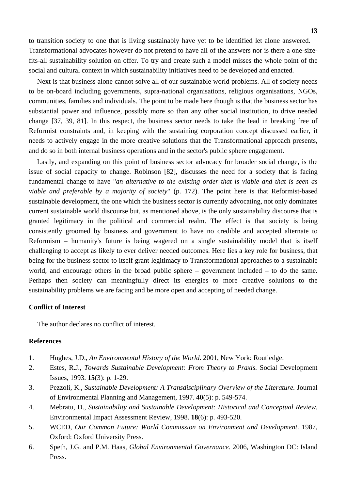to transition society to one that is living sustainably have yet to be identified let alone answered. Transformational advocates however do not pretend to have all of the answers nor is there a one-sizefits-all sustainability solution on offer. To try and create such a model misses the whole point of the social and cultural context in which sustainability initiatives need to be developed and enacted.

Next is that business alone cannot solve all of our sustainable world problems. All of society needs to be on-board including governments, supra-national organisations, religious organisations, NGOs, communities, families and individuals. The point to be made here though is that the business sector has substantial power and influence, possibly more so than any other social institution, to drive needed change [37, 39, 81]. In this respect, the business sector needs to take the lead in breaking free of Reformist constraints and, in keeping with the sustaining corporation concept discussed earlier, it needs to actively engage in the more creative solutions that the Transformational approach presents, and do so in both internal business operations and in the sector's public sphere engagement.

Lastly, and expanding on this point of business sector advocacy for broader social change, is the issue of social capacity to change. Robinson [82], discusses the need for a society that is facing fundamental change to have "*an alternative to the existing order that is viable and that is seen as viable and preferable by a majority of society*" (p. 172). The point here is that Reformist-based sustainable development, the one which the business sector is currently advocating, not only dominates current sustainable world discourse but, as mentioned above, is the only sustainability discourse that is granted legitimacy in the political and commercial realm. The effect is that society is being consistently groomed by business and government to have no credible and accepted alternate to Reformism – humanity's future is being wagered on a single sustainability model that is itself challenging to accept as likely to ever deliver needed outcomes. Here lies a key role for business, that being for the business sector to itself grant legitimacy to Transformational approaches to a sustainable world, and encourage others in the broad public sphere – government included – to do the same. Perhaps then society can meaningfully direct its energies to more creative solutions to the sustainability problems we are facing and be more open and accepting of needed change.

# **Conflict of Interest**

The author declares no conflict of interest.

## **References**

- 1. Hughes, J.D., *An Environmental History of the World*. 2001, New York: Routledge.
- 2. Estes, R.J., *Towards Sustainable Development: From Theory to Praxis.* Social Development Issues, 1993. **15**(3): p. 1-29.
- 3. Pezzoli, K., *Sustainable Development: A Transdisciplinary Overview of the Literature.* Journal of Environmental Planning and Management, 1997. **40**(5): p. 549-574.
- 4. Mebratu, D., *Sustainability and Sustainable Development: Historical and Conceptual Review.* Environmental Impact Assessment Review, 1998. **18**(6): p. 493-520.
- 5. WCED, *Our Common Future: World Commission on Environment and Development*. 1987, Oxford: Oxford University Press.
- 6. Speth, J.G. and P.M. Haas, *Global Environmental Governance*. 2006, Washington DC: Island Press.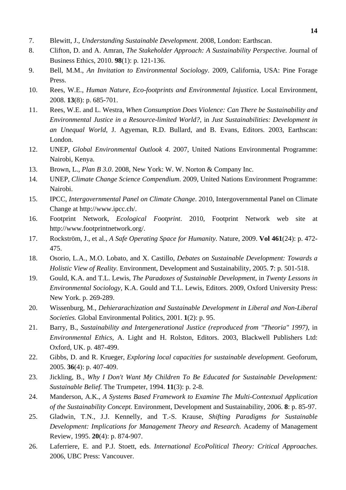- 7. Blewitt, J., *Understanding Sustainable Development*. 2008, London: Earthscan.
- 8. Clifton, D. and A. Amran, *The Stakeholder Approach: A Sustainability Perspective.* Journal of Business Ethics, 2010. **98**(1): p. 121-136.
- 9. Bell, M.M., *An Invitation to Environmental Sociology*. 2009, California, USA: Pine Forage Press.
- 10. Rees, W.E., *Human Nature, Eco-footprints and Environmental Injustice.* Local Environment, 2008. **13**(8): p. 685-701.
- 11. Rees, W.E. and L. Westra, *When Consumption Does Violence: Can There be Sustainability and Environmental Justice in a Resource-limited World?*, in *Just Sustainabilities: Development in an Unequal World*, J. Agyeman, R.D. Bullard, and B. Evans, Editors. 2003, Earthscan: London.
- 12. UNEP, *Global Environmental Outlook 4*. 2007, United Nations Environmental Programme: Nairobi, Kenya.
- 13. Brown, L., *Plan B 3.0*. 2008, New York: W. W. Norton & Company Inc.
- 14. UNEP, *Climate Change Science Compendium*. 2009, United Nations Environment Programme: Nairobi.
- 15. IPCC, *Intergovernmental Panel on Climate Change*. 2010, Intergovernmental Panel on Climate Change at http://www.ipcc.ch/.
- 16. Footprint Network, *Ecological Footprint*. 2010, Footprint Network web site at http://www.footprintnetwork.org/.
- 17. Rockström, J., et al., *A Safe Operating Space for Humanity.* Nature, 2009. **Vol 461**(24): p. 472- 475.
- 18. Osorio, L.A., M.O. Lobato, and X. Castillo, *Debates on Sustainable Development: Towards a Holistic View of Reality.* Environment, Development and Sustainability, 2005. **7**: p. 501-518.
- 19. Gould, K.A. and T.L. Lewis, *The Paradoxes of Sustainable Development*, in *Twenty Lessons in Environmental Sociology*, K.A. Gould and T.L. Lewis, Editors. 2009, Oxford University Press: New York. p. 269-289.
- 20. Wissenburg, M., *Dehierarachization and Sustainable Development in Liberal and Non-Liberal Societies.* Global Environmental Politics, 2001. **1**(2): p. 95.
- 21. Barry, B., *Sustainability and Intergenerational Justice (reproduced from "Theoria" 1997)*, in *Environmental Ethics*, A. Light and H. Rolston, Editors. 2003, Blackwell Publishers Ltd: Oxford, UK. p. 487-499.
- 22. Gibbs, D. and R. Krueger, *Exploring local capacities for sustainable development.* Geoforum, 2005. **36**(4): p. 407-409.
- 23. Jickling, B., *Why I Don't Want My Children To Be Educated for Sustainable Development: Sustainable Belief.* The Trumpeter, 1994. **11**(3): p. 2-8.
- 24. Manderson, A.K., *A Systems Based Framework to Examine The Multi-Contextual Application of the Sustainability Concept.* Environment, Development and Sustainability, 2006. **8**: p. 85-97.
- 25. Gladwin, T.N., J.J. Kennelly, and T.-S. Krause, *Shifting Paradigms for Sustainable Development: Implications for Management Theory and Research.* Academy of Management Review, 1995. **20**(4): p. 874-907.
- 26. Laferriere, E. and P.J. Stoett, eds. *International EcoPolitical Theory: Critical Approaches*. 2006, UBC Press: Vancouver.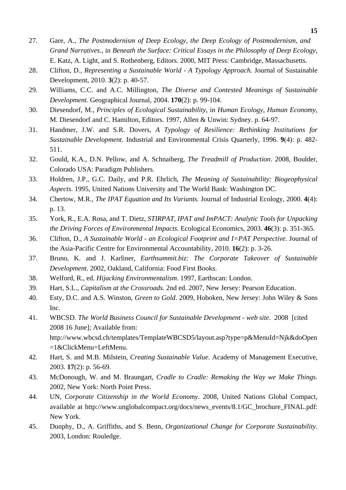- 27. Gare, A., *The Postmodernism of Deep Ecology, the Deep Ecology of Postmodernism, and Grand Narratives.*, in *Beneath the Surface: Critical Essays in the Philosophy of Deep Ecology*, E. Katz, A. Light, and S. Rothenberg, Editors. 2000, MIT Press: Cambridge, Massachusetts.
- 28. Clifton, D., *Representing a Sustainable World A Typology Approach.* Journal of Sustainable Development, 2010. **3**(2): p. 40-57.
- 29. Williams, C.C. and A.C. Millington, *The Diverse and Contested Meanings of Sustainable Development.* Geographical Journal, 2004. **170**(2): p. 99-104.
- 30. Diesendorf, M., *Principles of Ecological Sustainability*, in *Human Ecology, Human Economy*, M. Diesendorf and C. Hamilton, Editors. 1997, Allen & Unwin: Sydney. p. 64-97.
- 31. Handmer, J.W. and S.R. Dovers, *A Typology of Resilience: Rethinking Institutions for Sustainable Development.* Industrial and Environmental Crisis Quarterly, 1996. **9**(4): p. 482- 511.
- 32. Gould, K.A., D.N. Pellow, and A. Schnaiberg, *The Treadmill of Production*. 2008, Boulder, Colorado USA: Paradigm Publishers.
- 33. Holdren, J.P., G.C. Daily, and P.R. Ehrlich, *The Meaning of Sustainability: Biogeophysical Aspects*. 1995, United Nations University and The World Bank: Washington DC.
- 34. Chertow, M.R., *The IPAT Equation and Its Variants.* Journal of Industrial Ecology, 2000. **4**(4): p. 13.
- 35. York, R., E.A. Rosa, and T. Dietz, *STIRPAT, IPAT and ImPACT: Analytic Tools for Unpacking the Driving Forces of Environmental Impacts.* Ecological Economics, 2003. **46**(3): p. 351-365.
- 36. Clifton, D., *A Sustainable World an Ecological Footprint and I=PAT Perspective.* Journal of the Asia-Pacific Centre for Environmental Accountability, 2010. **16**(2): p. 3-26.
- 37. Bruno, K. and J. Karliner, *Earthsummit.biz: The Corporate Takeover of Sustainable Development*. 2002, Oakland, California: Food First Books.
- 38. Welford, R., ed. *Hijacking Environmentalism*. 1997, Earthscan: London.
- 39. Hart, S.L., *Capitalism at the Crossroads*. 2nd ed. 2007, New Jersey: Pearson Education.
- 40. Esty, D.C. and A.S. Winston, *Green to Gold*. 2009, Hoboken, New Jersey: John Wiley & Sons Inc.
- 41. WBCSD. *The World Business Council for Sustainable Development web site*. 2008 [cited 2008 16 June]; Available from: http://www.wbcsd.ch/templates/TemplateWBCSD5/layout.asp?type=p&MenuId=Njk&doOpen =1&ClickMenu=LeftMenu.
- 42. Hart, S. and M.B. Milstein, *Creating Sustainable Value.* Academy of Management Executive, 2003. **17**(2): p. 56-69.
- 43. McDonough, W. and M. Braungart, *Cradle to Cradle: Remaking the Way we Make Things*. 2002, New York: North Point Press.
- 44. UN, *Corporate Citizenship in the World Economy*. 2008, United Nations Global Compact, available at http://www.unglobalcompact.org/docs/news\_events/8.1/GC\_brochure\_FINAL.pdf: New York.
- 45. Dunphy, D., A. Griffiths, and S. Benn, *Organizational Change for Corporate Sustainability*. 2003, London: Rouledge.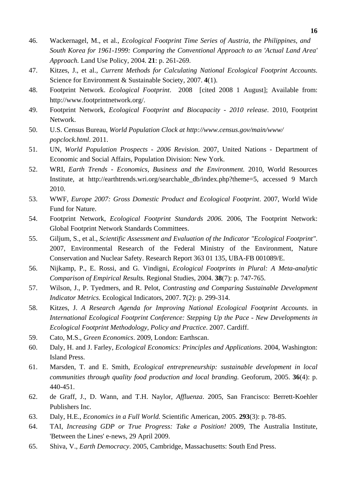- 46. Wackernagel, M., et al., *Ecological Footprint Time Series of Austria, the Philippines, and South Korea for 1961-1999: Comparing the Conventional Approach to an 'Actual Land Area' Approach.* Land Use Policy, 2004. **21**: p. 261-269.
- 47. Kitzes, J., et al., *Current Methods for Calculating National Ecological Footprint Accounts.* Science for Environment & Sustainable Society, 2007. **4**(1).
- 48. Footprint Network. *Ecological Footprint*. 2008 [cited 2008 1 August]; Available from: http://www.footprintnetwork.org/.
- 49. Footprint Network, *Ecological Footprint and Biocapacity 2010 release*. 2010, Footprint Network.
- 50. U.S. Census Bureau, *World Population Clock at http://www.census.gov/main/www/ popclock.html*. 2011.
- 51. UN, *World Population Prospects 2006 Revision*. 2007, United Nations Department of Economic and Social Affairs, Population Division: New York.
- 52. WRI, *Earth Trends Economics, Business and the Environment.* 2010, World Resources Institute, at http://earthtrends.wri.org/searchable\_db/index.php?theme=5, accessed 9 March 2010.
- 53. WWF, *Europe 2007: Gross Domestic Product and Ecological Footprint*. 2007, World Wide Fund for Nature.
- 54. Footprint Network, *Ecological Footprint Standards 2006*. 2006, The Footprint Network: Global Footprint Network Standards Committees.
- 55. Giljum, S., et al., *Scientific Assessment and Evaluation of the Indicator "Ecological Footprint"*. 2007, Environmental Research of the Federal Ministry of the Environment, Nature Conservation and Nuclear Safety. Research Report 363 01 135, UBA-FB 001089/E.
- 56. Nijkamp, P., E. Rossi, and G. Vindigni, *Ecological Footprints in Plural: A Meta-analytic Comparison of Empirical Results.* Regional Studies, 2004. **38**(7): p. 747-765.
- 57. Wilson, J., P. Tyedmers, and R. Pelot, *Contrasting and Comparing Sustainable Development Indicator Metrics.* Ecological Indicators, 2007. **7**(2): p. 299-314.
- 58. Kitzes, J. *A Research Agenda for Improving National Ecological Footprint Accounts*. in *International Ecological Footprint Conference: Stepping Up the Pace - New Developments in Ecological Footprint Methodology, Policy and Practice*. 2007. Cardiff.
- 59. Cato, M.S., *Green Economics*. 2009, London: Earthscan.
- 60. Daly, H. and J. Farley, *Ecological Economics: Principles and Applications*. 2004, Washington: Island Press.
- 61. Marsden, T. and E. Smith, *Ecological entrepreneurship: sustainable development in local communities through quality food production and local branding.* Geoforum, 2005. **36**(4): p. 440-451.
- 62. de Graff, J., D. Wann, and T.H. Naylor, *Affluenza*. 2005, San Francisco: Berrett-Koehler Publishers Inc.
- 63. Daly, H.E., *Economics in a Full World.* Scientific American, 2005. **293**(3): p. 78-85.
- 64. TAI, *Increasing GDP or True Progress: Take a Position!* 2009, The Australia Institute, 'Between the Lines' e-news, 29 April 2009.
- 65. Shiva, V., *Earth Democracy*. 2005, Cambridge, Massachusetts: South End Press.